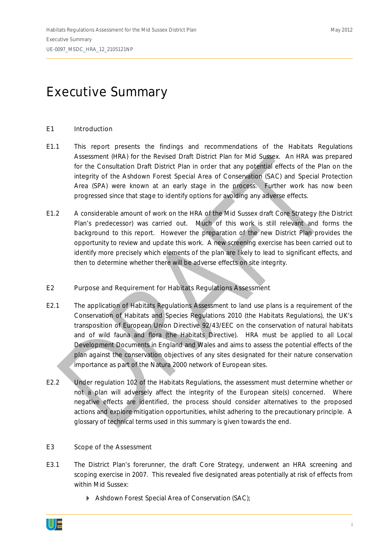# Executive Summary

## E1 Introduction

- E1.1 This report presents the findings and recommendations of the Habitats Regulations Assessment (HRA) for the Revised Draft District Plan for Mid Sussex. An HRA was prepared for the Consultation Draft District Plan in order that any potential effects of the Plan on the integrity of the Ashdown Forest Special Area of Conservation (SAC) and Special Protection Area (SPA) were known at an early stage in the process. Further work has now been progressed since that stage to identify options for avoiding any adverse effects.
- E1.2 A considerable amount of work on the HRA of the Mid Sussex draft Core Strategy (the District Plan's predecessor) was carried out. Much of this work is still relevant and forms the background to this report. However the preparation of the new District Plan provides the opportunity to review and update this work. A new screening exercise has been carried out to identify more precisely which elements of the plan are likely to lead to significant effects, and then to determine whether there will be adverse effects on site integrity.
- E2 Purpose and Requirement for Habitats Regulations Assessment
- E2.1 The application of Habitats Regulations Assessment to land use plans is a requirement of the Conservation of Habitats and Species Regulations 2010 (the Habitats Regulations), the UK's transposition of European Union Directive 92/43/EEC *on the conservation of natural habitats and of wild fauna and flora* (the Habitats Directive). HRA must be applied to all Local Development Documents in England and Wales and aims to assess the potential effects of the plan against the conservation objectives of any sites designated for their nature conservation importance as part of the Natura 2000 network of European sites.
- E2.2 Under regulation 102 of the Habitats Regulations, the assessment must determine whether or not a plan will adversely affect the integrity of the European site(s) concerned. Where negative effects are identified, the process should consider alternatives to the proposed actions and explore mitigation opportunities, whilst adhering to the precautionary principle. A glossary of technical terms used in this summary is given towards the end.
- E3 Scope of the Assessment
- E3.1 The District Plan's forerunner, the draft Core Strategy, underwent an HRA screening and scoping exercise in 2007. This revealed five designated areas potentially at risk of effects from within Mid Sussex:
	- ` Ashdown Forest Special Area of Conservation (SAC);

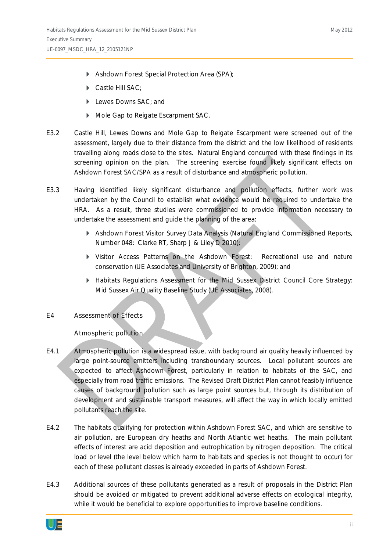- ` Ashdown Forest Special Protection Area (SPA);
- Castle Hill SAC:
- **Lewes Downs SAC; and**
- ` Mole Gap to Reigate Escarpment SAC.
- E3.2 Castle Hill, Lewes Downs and Mole Gap to Reigate Escarpment were screened out of the assessment, largely due to their distance from the district and the low likelihood of residents travelling along roads close to the sites. Natural England concurred with these findings in its screening opinion on the plan. The screening exercise found likely significant effects on Ashdown Forest SAC/SPA as a result of disturbance and atmospheric pollution.
- E3.3 Having identified likely significant disturbance and pollution effects, further work was undertaken by the Council to establish what evidence would be required to undertake the HRA. As a result, three studies were commissioned to provide information necessary to undertake the assessment and guide the planning of the area:
	- ` *Ashdown Forest Visitor Survey Data Analysis* (Natural England Commissioned Reports, Number 048: Clarke RT, Sharp J & Liley D 2010);
	- ` *Visitor Access Patterns on the Ashdown Forest: Recreational use and nature conservation* (UE Associates and University of Brighton, 2009); and
	- ` *Habitats Regulations Assessment for the Mid Sussex District Council Core Strategy: Mid Sussex Air Quality Baseline Study* (UE Associates, 2008).
- E4 Assessment of Effects

## *Atmospheric pollution*

- E4.1 Atmospheric pollution is a widespread issue, with background air quality heavily influenced by large point-source emitters including transboundary sources. Local pollutant sources are expected to affect Ashdown Forest, particularly in relation to habitats of the SAC, and especially from road traffic emissions. The Revised Draft District Plan cannot feasibly influence causes of background pollution such as large point sources but, through its distribution of development and sustainable transport measures, will affect the way in which locally emitted pollutants reach the site.
- E4.2 The habitats qualifying for protection within Ashdown Forest SAC, and which are sensitive to air pollution, are European dry heaths and North Atlantic wet heaths. The main pollutant effects of interest are acid deposition and eutrophication by nitrogen deposition. The critical load or level (the level below which harm to habitats and species is not thought to occur) for each of these pollutant classes is already exceeded in parts of Ashdown Forest.
- E4.3 Additional sources of these pollutants generated as a result of proposals in the District Plan should be avoided or mitigated to prevent additional adverse effects on ecological integrity, while it would be beneficial to explore opportunities to improve baseline conditions.

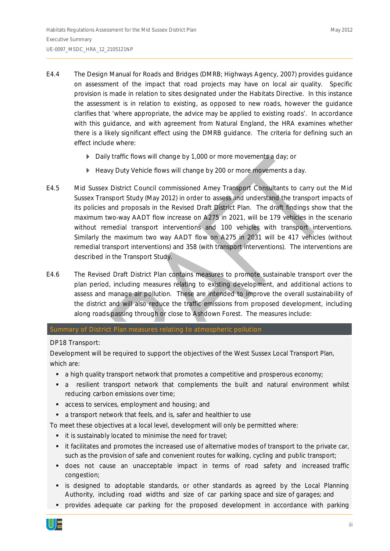- E4.4 The Design Manual for Roads and Bridges (DMRB; Highways Agency, 2007) provides guidance on assessment of the impact that road projects may have on local air quality. Specific provision is made in relation to sites designated under the Habitats Directive. In this instance the assessment is in relation to existing, as opposed to new roads, however the guidance clarifies that '*where appropriate, the advice may be applied to existing roads*'. In accordance with this guidance, and with agreement from Natural England, the HRA examines whether there is a likely significant effect using the DMRB guidance. The criteria for defining such an effect include where:
	- Daily traffic flows will change by 1,000 or more movements a day; or
	- **EXECT** Heavy Duty Vehicle flows will change by 200 or more movements a day.
- E4.5 Mid Sussex District Council commissioned Amey Transport Consultants to carry out the Mid Sussex Transport Study (May 2012) in order to assess and understand the transport impacts of its policies and proposals in the Revised Draft District Plan. The draft findings show that the maximum two-way AADT flow increase on A275 in 2021, will be 179 vehicles in the scenario without remedial transport interventions and 100 vehicles with transport interventions. Similarly the maximum two way AADT flow on A275 in 2031 will be 417 vehicles (without remedial transport interventions) and 358 (with transport interventions). The interventions are described in the Transport Study.
- E4.6 The Revised Draft District Plan contains measures to promote sustainable transport over the plan period, including measures relating to existing development, and additional actions to assess and manage air pollution. These are intended to improve the overall sustainability of the district and will also reduce the traffic emissions from proposed development, including along roads passing through or close to Ashdown Forest. The measures include:

Summary of District Plan measures relating to atmospheric pollution

## DP18 Transport:

Development will be required to support the objectives of the West Sussex Local Transport Plan, which are:

- a high quality transport network that promotes a competitive and prosperous economy;
- a resilient transport network that complements the built and natural environment whilst reducing carbon emissions over time;
- **access to services, employment and housing; and**
- a transport network that feels, and is, safer and healthier to use

To meet these objectives at a local level, development will only be permitted where:

- **i** it is sustainably located to minimise the need for travel;
- it facilitates and promotes the increased use of alternative modes of transport to the private car, such as the provision of safe and convenient routes for walking, cycling and public transport;
- does not cause an unacceptable impact in terms of road safety and increased traffic congestion;
- is designed to adoptable standards, or other standards as agreed by the Local Planning Authority, including road widths and size of car parking space and size of garages; and
- provides adequate car parking for the proposed development in accordance with parking

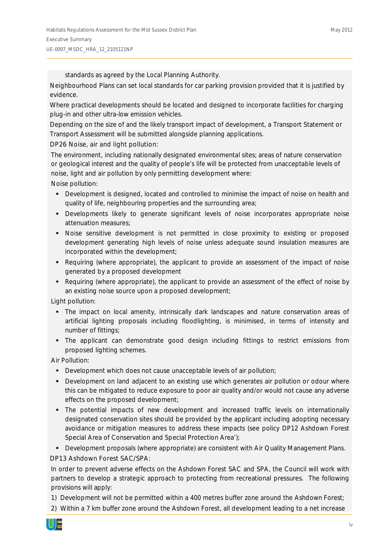standards as agreed by the Local Planning Authority.

Neighbourhood Plans can set local standards for car parking provision provided that it is justified by evidence.

Where practical developments should be located and designed to incorporate facilities for charging plug-in and other ultra-low emission vehicles.

Depending on the size of and the likely transport impact of development, a Transport Statement or Transport Assessment will be submitted alongside planning applications.

DP26 Noise, air and light pollution:

The environment, including nationally designated environmental sites; areas of nature conservation or geological interest and the quality of people's life will be protected from unacceptable levels of noise, light and air pollution by only permitting development where:

Noise pollution:

- Development is designed, located and controlled to minimise the impact of noise on health and quality of life, neighbouring properties and the surrounding area;
- Developments likely to generate significant levels of noise incorporates appropriate noise attenuation measures;
- Noise sensitive development is not permitted in close proximity to existing or proposed development generating high levels of noise unless adequate sound insulation measures are incorporated within the development;
- Requiring (where appropriate), the applicant to provide an assessment of the impact of noise generated by a proposed development
- Requiring (where appropriate), the applicant to provide an assessment of the effect of noise by an existing noise source upon a proposed development;

Light pollution:

- The impact on local amenity, intrinsically dark landscapes and nature conservation areas of artificial lighting proposals including floodlighting, is minimised, in terms of intensity and number of fittings;
- The applicant can demonstrate good design including fittings to restrict emissions from proposed lighting schemes.

Air Pollution:

- **Development which does not cause unacceptable levels of air pollution;**
- Development on land adjacent to an existing use which generates air pollution or odour where this can be mitigated to reduce exposure to poor air quality and/or would not cause any adverse effects on the proposed development;
- The potential impacts of new development and increased traffic levels on internationally designated conservation sites should be provided by the applicant including adopting necessary avoidance or mitigation measures to address these impacts (see policy DP12 Ashdown Forest Special Area of Conservation and Special Protection Area');
- Development proposals (where appropriate) are consistent with Air Quality Management Plans.

DP13 Ashdown Forest SAC/SPA:

In order to prevent adverse effects on the Ashdown Forest SAC and SPA, the Council will work with partners to develop a strategic approach to protecting from recreational pressures. The following provisions will apply:

- 1) Development will not be permitted within a 400 metres buffer zone around the Ashdown Forest;
- 2) Within a 7 km buffer zone around the Ashdown Forest, all development leading to a net increase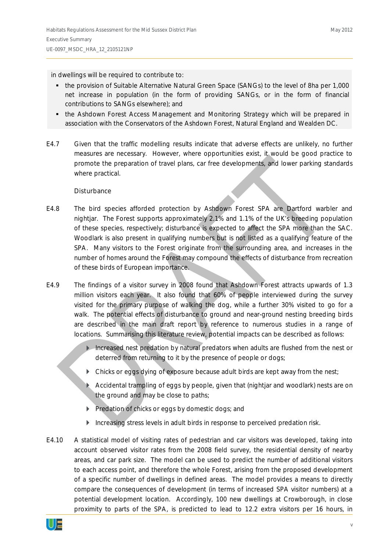#### in dwellings will be required to contribute to:

- the provision of Suitable Alternative Natural Green Space (SANGs) to the level of 8ha per 1,000 net increase in population (in the form of providing SANGs, or in the form of financial contributions to SANGs elsewhere); and
- the Ashdown Forest Access Management and Monitoring Strategy which will be prepared in association with the Conservators of the Ashdown Forest, Natural England and Wealden DC.
- E4.7 Given that the traffic modelling results indicate that adverse effects are unlikely, no further measures are necessary. However, where opportunities exist, it would be good practice to promote the preparation of travel plans, car free developments, and lower parking standards where practical.

#### *Disturbance*

- E4.8 The bird species afforded protection by Ashdown Forest SPA are Dartford warbler and nightjar. The Forest supports approximately 2.1% and 1.1% of the UK's breeding population of these species, respectively; disturbance is expected to affect the SPA more than the SAC. Woodlark is also present in qualifying numbers but is not listed as a qualifying feature of the SPA. Many visitors to the Forest originate from the surrounding area, and increases in the number of homes around the Forest may compound the effects of disturbance from recreation of these birds of European importance.
- E4.9 The findings of a visitor survey in 2008 found that Ashdown Forest attracts upwards of 1.3 million visitors each year. It also found that 60% of people interviewed during the survey visited for the primary purpose of walking the dog, while a further 30% visited to go for a walk. The potential effects of disturbance to ground and near-ground nesting breeding birds are described in the main draft report by reference to numerous studies in a range of locations. Summarising this literature review, potential impacts can be described as follows:
	- $\blacktriangleright$  Increased nest predation by natural predators when adults are flushed from the nest or deterred from returning to it by the presence of people or dogs;
	- $\triangleright$  Chicks or eggs dying of exposure because adult birds are kept away from the nest;
	- $\triangleright$  Accidental trampling of eggs by people, given that (nightjar and woodlark) nests are on the ground and may be close to paths;
	- **Predation of chicks or eggs by domestic dogs; and**
	- ` Increasing stress levels in adult birds in response to perceived predation risk.
- E4.10 A statistical model of visiting rates of pedestrian and car visitors was developed, taking into account observed visitor rates from the 2008 field survey, the residential density of nearby areas, and car park size. The model can be used to predict the number of additional visitors to each access point, and therefore the whole Forest, arising from the proposed development of a specific number of dwellings in defined areas. The model provides a means to directly compare the consequences of development (in terms of increased SPA visitor numbers) at a potential development location. Accordingly, 100 new dwellings at Crowborough, in close proximity to parts of the SPA, is predicted to lead to 12.2 extra visitors per 16 hours, in

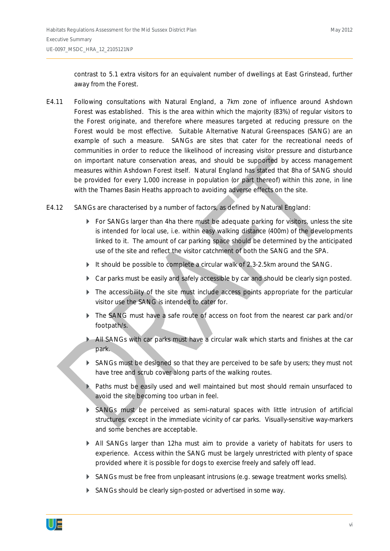contrast to 5.1 extra visitors for an equivalent number of dwellings at East Grinstead, further away from the Forest.

- E4.11 Following consultations with Natural England, a 7km zone of influence around Ashdown Forest was established. This is the area within which the majority (83%) of regular visitors to the Forest originate, and therefore where measures targeted at reducing pressure on the Forest would be most effective. Suitable Alternative Natural Greenspaces (SANG) are an example of such a measure. SANGs are sites that cater for the recreational needs of communities in order to reduce the likelihood of increasing visitor pressure and disturbance on important nature conservation areas, and should be supported by access management measures within Ashdown Forest itself. Natural England has stated that 8ha of SANG should be provided for every 1,000 increase in population (or part thereof) within this zone, in line with the Thames Basin Heaths approach to avoiding adverse effects on the site.
- E4.12 SANGs are characterised by a number of factors, as defined by Natural England:
	- $\triangleright$  For SANGs larger than 4ha there must be adequate parking for visitors, unless the site is intended for local use, i.e. within easy walking distance (400m) of the developments linked to it. The amount of car parking space should be determined by the anticipated use of the site and reflect the visitor catchment of both the SANG and the SPA.
	- $\blacktriangleright$  It should be possible to complete a circular walk of 2.3-2.5km around the SANG.
	- ` Car parks must be easily and safely accessible by car and should be clearly sign posted.
	- $\blacktriangleright$  The accessibility of the site must include access points appropriate for the particular visitor use the SANG is intended to cater for.
	- The SANG must have a safe route of access on foot from the nearest car park and/or footpath/s.
	- ` All SANGs with car parks must have a circular walk which starts and finishes at the car park.
	- SANGs must be designed so that they are perceived to be safe by users; they must not have tree and scrub cover along parts of the walking routes.
	- Paths must be easily used and well maintained but most should remain unsurfaced to avoid the site becoming too urban in feel.
	- $\triangleright$  SANGs must be perceived as semi-natural spaces with little intrusion of artificial structures, except in the immediate vicinity of car parks. Visually-sensitive way-markers and some benches are acceptable.
	- ` All SANGs larger than 12ha must aim to provide a variety of habitats for users to experience. Access within the SANG must be largely unrestricted with plenty of space provided where it is possible for dogs to exercise freely and safely off lead.
	- $\triangleright$  SANGs must be free from unpleasant intrusions (e.g. sewage treatment works smells).
	- SANGs should be clearly sign-posted or advertised in some way.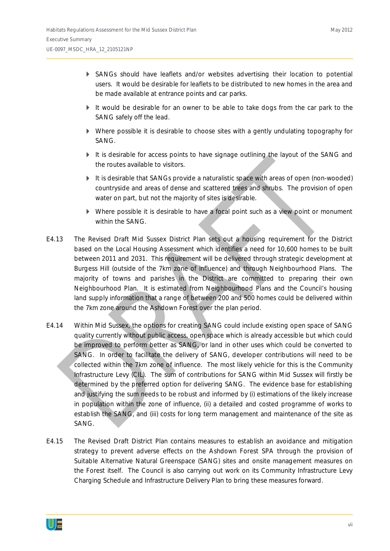- ` SANGs should have leaflets and/or websites advertising their location to potential users. It would be desirable for leaflets to be distributed to new homes in the area and be made available at entrance points and car parks.
- $\blacktriangleright$  It would be desirable for an owner to be able to take dogs from the car park to the SANG safely off the lead.
- ` Where possible it is desirable to choose sites with a gently undulating topography for SANG.
- It is desirable for access points to have signage outlining the layout of the SANG and the routes available to visitors.
- $\blacktriangleright$  It is desirable that SANGs provide a naturalistic space with areas of open (non-wooded) countryside and areas of dense and scattered trees and shrubs. The provision of open water on part, but not the majority of sites is desirable.
- ` Where possible it is desirable to have a focal point such as a view point or monument within the SANG.
- E4.13 The Revised Draft Mid Sussex District Plan sets out a housing requirement for the District based on the Local Housing Assessment which identifies a need for 10,600 homes to be built between 2011 and 2031. This requirement will be delivered through strategic development at Burgess Hill (outside of the 7km zone of influence) and through Neighbourhood Plans. The majority of towns and parishes in the District are committed to preparing their own Neighbourhood Plan. It is estimated from Neighbourhood Plans and the Council's housing land supply information that a range of between 200 and 500 homes could be delivered within the 7km zone around the Ashdown Forest over the plan period.
- E4.14 Within Mid Sussex, the options for creating SANG could include existing open space of SANG quality currently without public access, open space which is already accessible but which could be improved to perform better as SANG, or land in other uses which could be converted to SANG. In order to facilitate the delivery of SANG, developer contributions will need to be collected within the 7km zone of influence. The most likely vehicle for this is the Community Infrastructure Levy (CIL). The sum of contributions for SANG within Mid Sussex will firstly be determined by the preferred option for delivering SANG. The evidence base for establishing and justifying the sum needs to be robust and informed by (i) estimations of the likely increase in population within the zone of influence, (ii) a detailed and costed programme of works to establish the SANG, and (iii) costs for long term management and maintenance of the site as SANG.
- E4.15 The Revised Draft District Plan contains measures to establish an avoidance and mitigation strategy to prevent adverse effects on the Ashdown Forest SPA through the provision of Suitable Alternative Natural Greenspace (SANG) sites and onsite management measures on the Forest itself. The Council is also carrying out work on its Community Infrastructure Levy Charging Schedule and Infrastructure Delivery Plan to bring these measures forward.

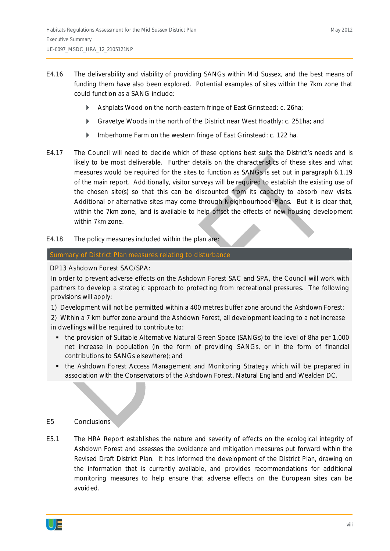- E4.16 The deliverability and viability of providing SANGs within Mid Sussex, and the best means of funding them have also been explored. Potential examples of sites within the 7km zone that could function as a SANG include:
	- **Ashplats Wood on the north-eastern fringe of East Grinstead: c. 26ha;**
	- **•** Gravetye Woods in the north of the District near West Hoathly: c. 251ha; and
	- **Imberhorne Farm on the western fringe of East Grinstead: c. 122 ha.**
- E4.17 The Council will need to decide which of these options best suits the District's needs and is likely to be most deliverable. Further details on the characteristics of these sites and what measures would be required for the sites to function as SANGs is set out in paragraph 6.1.19 of the main report. Additionally, visitor surveys will be required to establish the existing use of the chosen site(s) so that this can be discounted from its capacity to absorb new visits. Additional or alternative sites may come through Neighbourhood Plans. But it is clear that, within the 7km zone, land is available to help offset the effects of new housing development within 7km zone.
- E4.18 The policy measures included within the plan are:

## Summary of District Plan measures relating to disturbance

DP13 Ashdown Forest SAC/SPA:

In order to prevent adverse effects on the Ashdown Forest SAC and SPA, the Council will work with partners to develop a strategic approach to protecting from recreational pressures. The following provisions will apply:

1) Development will not be permitted within a 400 metres buffer zone around the Ashdown Forest;

2) Within a 7 km buffer zone around the Ashdown Forest, all development leading to a net increase in dwellings will be required to contribute to:

- the provision of Suitable Alternative Natural Green Space (SANGs) to the level of 8ha per 1,000 net increase in population (in the form of providing SANGs, or in the form of financial contributions to SANGs elsewhere); and
- the Ashdown Forest Access Management and Monitoring Strategy which will be prepared in association with the Conservators of the Ashdown Forest, Natural England and Wealden DC.

## E5 Conclusions

E5.1 The HRA Report establishes the nature and severity of effects on the ecological integrity of Ashdown Forest and assesses the avoidance and mitigation measures put forward within the Revised Draft District Plan. It has informed the development of the District Plan, drawing on the information that is currently available, and provides recommendations for additional monitoring measures to help ensure that adverse effects on the European sites can be avoided.

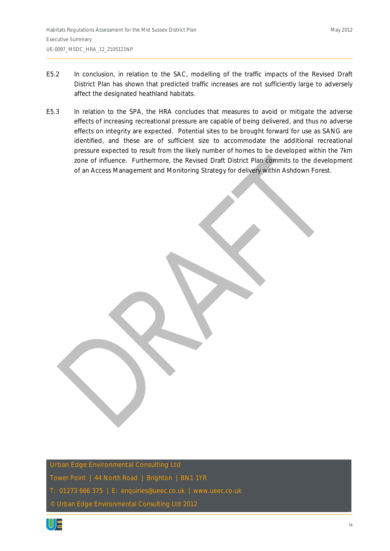- E5.2 In conclusion, in relation to the SAC, modelling of the traffic impacts of the Revised Draft District Plan has shown that predicted traffic increases are not sufficiently large to adversely affect the designated heathland habitats.
- E5.3 In relation to the SPA, the HRA concludes that measures to avoid or mitigate the adverse effects of increasing recreational pressure are capable of being delivered, and thus no adverse effects on integrity are expected. Potential sites to be brought forward for use as SANG are identified, and these are of sufficient size to accommodate the additional recreational pressure expected to result from the likely number of homes to be developed within the 7km zone of influence. Furthermore, the Revised Draft District Plan commits to the development of an Access Management and Monitoring Strategy for delivery within Ashdown Forest.

Urban Edge Environmental Consulting Ltd

Tower Point | 44 North Road | Brighton | BN1 1YR

T: 01273 666 375 | E: enquiries@ueec.co.uk | www.ueec.co.uk

© Urban Edge Environmental Consulting Ltd 2012